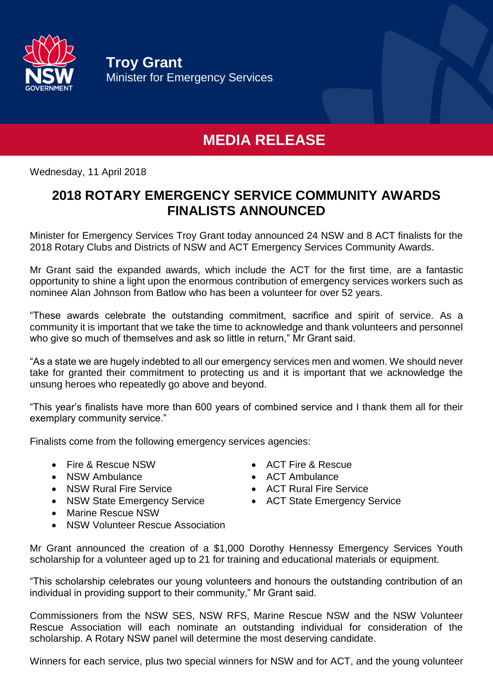

**Troy Grant** Minister for Emergency Services

## **MEDIA RELEASE**

Wednesday, 11 April 2018

## **2018 ROTARY EMERGENCY SERVICE COMMUNITY AWARDS FINALISTS ANNOUNCED**

Minister for Emergency Services Troy Grant today announced 24 NSW and 8 ACT finalists for the 2018 Rotary Clubs and Districts of NSW and ACT Emergency Services Community Awards.

Mr Grant said the expanded awards, which include the ACT for the first time, are a fantastic opportunity to shine a light upon the enormous contribution of emergency services workers such as nominee Alan Johnson from Batlow who has been a volunteer for over 52 years.

"These awards celebrate the outstanding commitment, sacrifice and spirit of service. As a community it is important that we take the time to acknowledge and thank volunteers and personnel who give so much of themselves and ask so little in return," Mr Grant said.

"As a state we are hugely indebted to all our emergency services men and women. We should never take for granted their commitment to protecting us and it is important that we acknowledge the unsung heroes who repeatedly go above and beyond.

"This year's finalists have more than 600 years of combined service and I thank them all for their exemplary community service."

Finalists come from the following emergency services agencies:

- Fire & Rescue NSW ACT Fire & Rescue
- 
- NSW Rural Fire Service **ACT Rural Fire Service**
- NSW State Emergency Service ACT State Emergency Service
- Marine Rescue NSW
- NSW Volunteer Rescue Association
- Mr Grant announced the creation of a \$1,000 Dorothy Hennessy Emergency Services Youth scholarship for a volunteer aged up to 21 for training and educational materials or equipment.

"This scholarship celebrates our young volunteers and honours the outstanding contribution of an individual in providing support to their community," Mr Grant said.

Commissioners from the NSW SES, NSW RFS, Marine Rescue NSW and the NSW Volunteer Rescue Association will each nominate an outstanding individual for consideration of the scholarship. A Rotary NSW panel will determine the most deserving candidate.

Winners for each service, plus two special winners for NSW and for ACT, and the young volunteer

- 
- NSW Ambulance **Contract Contract Contract Contract Contract Contract Contract Contract Contract Contract Contract Contract Contract Contract Contract Contract Contract Contract Contract Contract Contract Contract Contrac** 
	-
	-